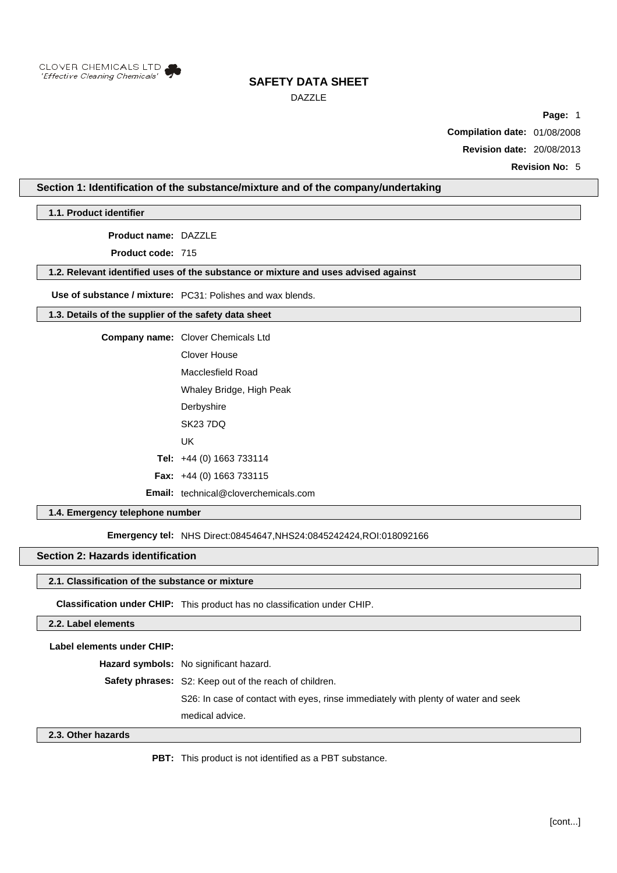

DAZZLE

**Page:** 1

**Compilation date:** 01/08/2008

**Revision date:** 20/08/2013

**Revision No:** 5

## **Section 1: Identification of the substance/mixture and of the company/undertaking**

**1.1. Product identifier**

**Product name:** DAZZLE

**Product code:** 715

### **1.2. Relevant identified uses of the substance or mixture and uses advised against**

**Use of substance / mixture:** PC31: Polishes and wax blends.

## **1.3. Details of the supplier of the safety data sheet**

**Company name:** Clover Chemicals Ltd

- Clover House Macclesfield Road Whaley Bridge, High Peak **Derbyshire** SK23 7DQ
	- UK

**Tel:** +44 (0) 1663 733114

**Fax:** +44 (0) 1663 733115

**Email:** technical@cloverchemicals.com

### **1.4. Emergency telephone number**

**Emergency tel: NHS Direct:08454647,NHS24:0845242424,ROI:018092166** 

### **Section 2: Hazards identification**

#### **2.1. Classification of the substance or mixture**

**Classification under CHIP:** This product has no classification under CHIP.

#### **2.2. Label elements**

**Label elements under CHIP:**

**Hazard symbols:** No significant hazard.

**Safety phrases:** S2: Keep out of the reach of children.

S26: In case of contact with eyes, rinse immediately with plenty of water and seek

medical advice.

#### **2.3. Other hazards**

**PBT:** This product is not identified as a PBT substance.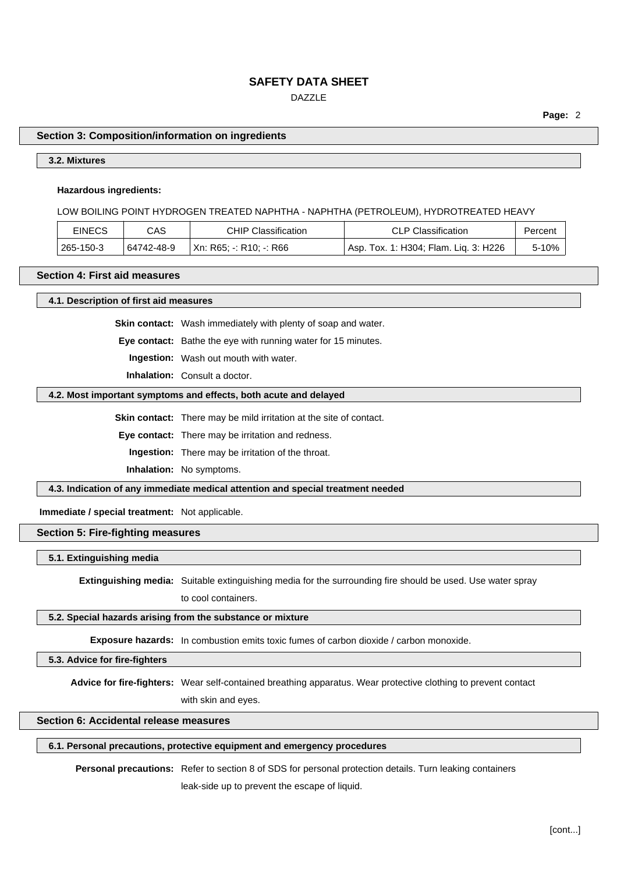## DAZZLE

**Page:** 2

### **Section 3: Composition/information on ingredients**

## **3.2. Mixtures**

#### **Hazardous ingredients:**

#### LOW BOILING POINT HYDROGEN TREATED NAPHTHA - NAPHTHA (PETROLEUM), HYDROTREATED HEAVY

| <b>EINECS</b> | CAS        | <b>CHIP Classification</b> | <b>CLP Classification</b>               | Percent |
|---------------|------------|----------------------------|-----------------------------------------|---------|
| 265-150-3     | 64742-48-9 | Xn: R65; -: R10; -: R66    | ' Asp. Tox. 1: H304; Flam. Lig. 3: H226 | $5-10%$ |

## **Section 4: First aid measures**

**4.1. Description of first aid measures**

**Skin contact:** Wash immediately with plenty of soap and water.

**Eye contact:** Bathe the eye with running water for 15 minutes.

**Ingestion:** Wash out mouth with water.

**Inhalation:** Consult a doctor.

#### **4.2. Most important symptoms and effects, both acute and delayed**

**Skin contact:** There may be mild irritation at the site of contact.

**Eye contact:** There may be irritation and redness.

**Ingestion:** There may be irritation of the throat.

**Inhalation:** No symptoms.

**4.3. Indication of any immediate medical attention and special treatment needed**

**Immediate / special treatment:** Not applicable.

## **Section 5: Fire-fighting measures**

#### **5.1. Extinguishing media**

**Extinguishing media:** Suitable extinguishing media for the surrounding fire should be used. Use water spray

to cool containers.

## **5.2. Special hazards arising from the substance or mixture**

**Exposure hazards:** In combustion emits toxic fumes of carbon dioxide / carbon monoxide.

**5.3. Advice for fire-fighters**

**Advice for fire-fighters:** Wear self-contained breathing apparatus. Wear protective clothing to prevent contact

with skin and eyes.

## **Section 6: Accidental release measures**

## **6.1. Personal precautions, protective equipment and emergency procedures**

**Personal precautions:** Refer to section 8 of SDS for personal protection details. Turn leaking containers

leak-side up to prevent the escape of liquid.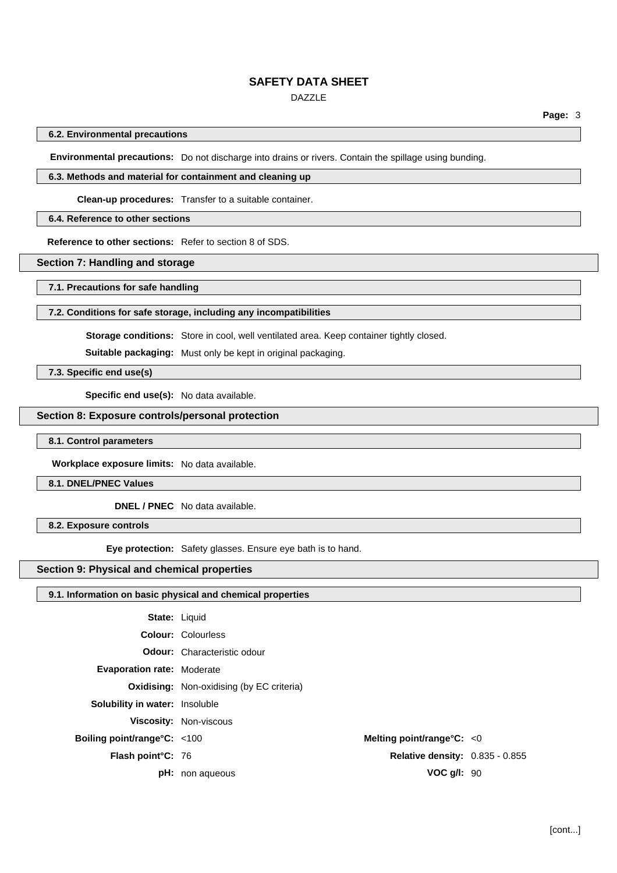## DAZZLE

### **6.2. Environmental precautions**

**Environmental precautions:** Do not discharge into drains or rivers. Contain the spillage using bunding.

## **6.3. Methods and material for containment and cleaning up**

**Clean-up procedures:** Transfer to a suitable container.

## **6.4. Reference to other sections**

**Reference to other sections:** Refer to section 8 of SDS.

## **Section 7: Handling and storage**

**7.1. Precautions for safe handling**

#### **7.2. Conditions for safe storage, including any incompatibilities**

**Storage conditions:** Store in cool, well ventilated area. Keep container tightly closed.

**Suitable packaging:** Must only be kept in original packaging.

**7.3. Specific end use(s)**

**Specific end use(s):** No data available.

## **Section 8: Exposure controls/personal protection**

### **8.1. Control parameters**

**Workplace exposure limits:** No data available.

**8.1. DNEL/PNEC Values**

**DNEL / PNEC** No data available.

**8.2. Exposure controls**

**Eye protection:** Safety glasses. Ensure eye bath is to hand.

## **Section 9: Physical and chemical properties**

## **9.1. Information on basic physical and chemical properties**

| <b>State: Liquid</b>                  |                                                  |  |
|---------------------------------------|--------------------------------------------------|--|
|                                       | <b>Colour: Colourless</b>                        |  |
|                                       | <b>Odour:</b> Characteristic odour               |  |
| <b>Evaporation rate: Moderate</b>     |                                                  |  |
|                                       | <b>Oxidising:</b> Non-oxidising (by EC criteria) |  |
| <b>Solubility in water:</b> Insoluble |                                                  |  |
|                                       | <b>Viscosity: Non-viscous</b>                    |  |
| Boiling point/range $C: <100$         | Melting point/range $C: < 0$                     |  |
| Flash point°C: 76                     | <b>Relative density: 0.835 - 0.855</b>           |  |
|                                       | $VOC$ $q/l$ : 90<br><b>pH:</b> non aqueous       |  |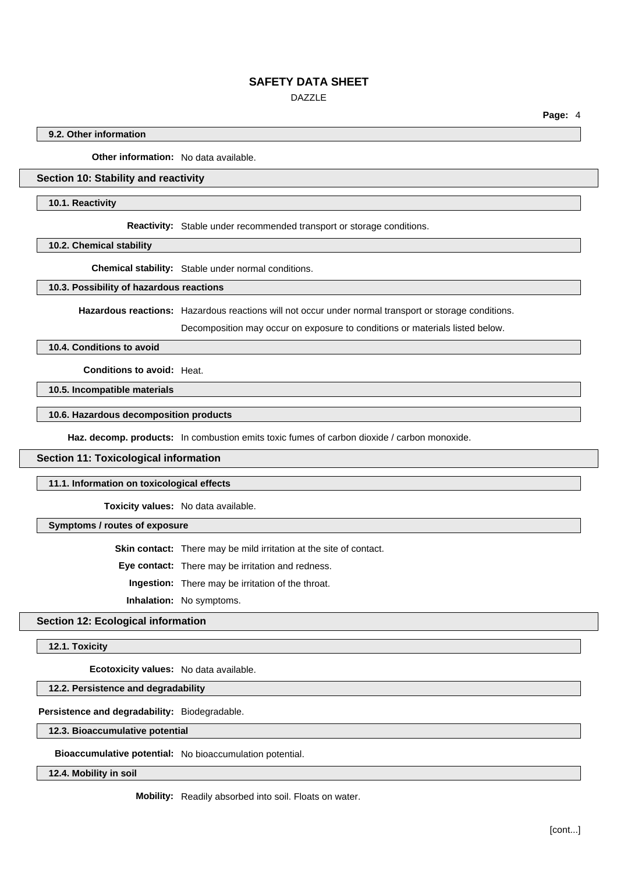DAZZLE

**Page:** 4

### **9.2. Other information**

**Other information:** No data available.

## **Section 10: Stability and reactivity**

#### **10.1. Reactivity**

**Reactivity:** Stable under recommended transport or storage conditions.

**10.2. Chemical stability**

**Chemical stability:** Stable under normal conditions.

#### **10.3. Possibility of hazardous reactions**

**Hazardous reactions:** Hazardous reactions will not occur under normal transport or storage conditions.

Decomposition may occur on exposure to conditions or materials listed below.

## **10.4. Conditions to avoid**

**Conditions to avoid:** Heat.

**10.5. Incompatible materials**

### **10.6. Hazardous decomposition products**

**Haz. decomp. products:** In combustion emits toxic fumes of carbon dioxide / carbon monoxide.

## **Section 11: Toxicological information**

**11.1. Information on toxicological effects**

**Toxicity values:** No data available.

**Symptoms / routes of exposure**

**Skin contact:** There may be mild irritation at the site of contact.

**Eye contact:** There may be irritation and redness.

**Ingestion:** There may be irritation of the throat.

**Inhalation:** No symptoms.

## **Section 12: Ecological information**

**12.1. Toxicity**

**Ecotoxicity values:** No data available.

**12.2. Persistence and degradability**

## **Persistence and degradability:** Biodegradable.

#### **12.3. Bioaccumulative potential**

**Bioaccumulative potential:** No bioaccumulation potential.

**12.4. Mobility in soil**

**Mobility:** Readily absorbed into soil. Floats on water.